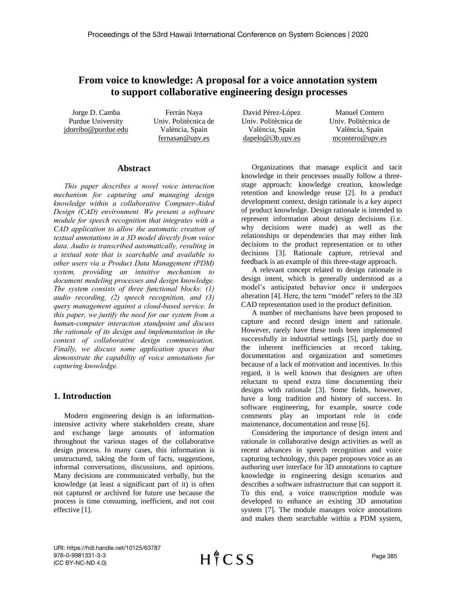# **From voice to knowledge: A proposal for a voice annotation system to support collaborative engineering design processes**

Jorge D. Camba Purdue University [jdorribo@purdue.edu](mailto:jdorribo@purdue.edu)

Ferrán Naya Univ. Politècnica de València, Spain [fernasan@upv.es](mailto:fernasan@upv.es)

## **Abstract**

*This paper describes a novel voice interaction mechanism for capturing and managing design knowledge within a collaborative Computer-Aided Design (CAD) environment. We present a software module for speech recognition that integrates with a CAD application to allow the automatic creation of textual annotations in a 3D model directly from voice data. Audio is transcribed automatically, resulting in a textual note that is searchable and available to other users via a Product Data Management (PDM) system, providing an intuitive mechanism to document modeling processes and design knowledge. The system consists of three functional blocks: (1) audio recording, (2) speech recognition, and (3) query management against a cloud-based service. In this paper, we justify the need for our system from a human-computer interaction standpoint and discuss the rationale of its design and implementation in the context of collaborative design communication. Finally, we discuss some application spaces that demonstrate the capability of voice annotations for capturing knowledge.*

## **1. Introduction**

Modern engineering design is an informationintensive activity where stakeholders create, share and exchange large amounts of information throughout the various stages of the collaborative design process. In many cases, this information is unstructured, taking the form of facts, suggestions, informal conversations, discussions, and opinions. Many decisions are communicated verbally, but the knowledge (at least a significant part of it) is often not captured or archived for future use because the process is time consuming, inefficient, and not cost effective [1].

David Pérez-López Univ. Politècnica de València, Spain [dapelo@i3b.upv.es](mailto:dapelo@i3b.upv.es)

Manuel Contero Univ. Politècnica de València, Spain mcontero@upv.es

Organizations that manage explicit and tacit knowledge in their processes usually follow a threestage approach: knowledge creation, knowledge retention and knowledge reuse [2]. In a product development context, design rationale is a key aspect of product knowledge. Design rationale is intended to represent information about design decisions (i.e. why decisions were made) as well as the relationships or dependencies that may either link decisions to the product representation or to other decisions [3]. Rationale capture, retrieval and feedback is an example of this three-stage approach.

A relevant concept related to design rationale is design intent, which is generally understood as a model's anticipated behavior once it undergoes alteration [4]. Here, the term "model" refers to the 3D CAD representation used in the product definition.

A number of mechanisms have been proposed to capture and record design intent and rationale. However, rarely have these tools been implemented successfully in industrial settings [5], partly due to the inherent inefficiencies at record taking, documentation and organization and sometimes because of a lack of motivation and incentives. In this regard, it is well known that designers are often reluctant to spend extra time documenting their designs with rationale [3]. Some fields, however, have a long tradition and history of success. In software engineering, for example, source code comments play an important role in code maintenance, documentation and reuse [6].

Considering the importance of design intent and rationale in collaborative design activities as well as recent advances in speech recognition and voice capturing technology, this paper proposes voice as an authoring user interface for 3D annotations to capture knowledge in engineering design scenarios and describes a software infrastructure that can support it. To this end, a voice transcription module was developed to enhance an existing 3D annotation system [7]. The module manages voice annotations and makes them searchable within a PDM system,

URI: https://hdl.handle.net/10125/63787 978-0-9981331-3-3 (CC BY-NC-ND 4.0)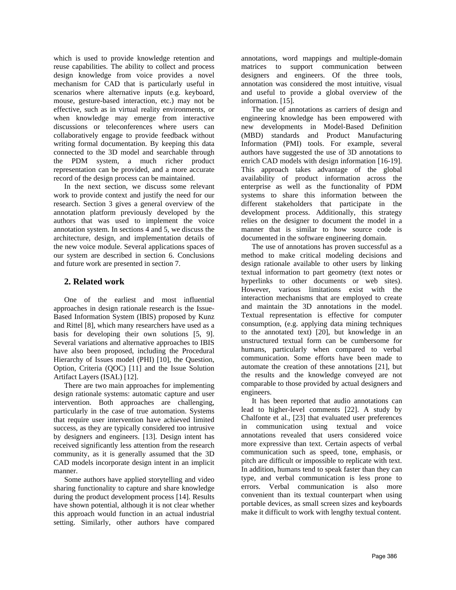which is used to provide knowledge retention and reuse capabilities. The ability to collect and process design knowledge from voice provides a novel mechanism for CAD that is particularly useful in scenarios where alternative inputs (e.g. keyboard, mouse, gesture-based interaction, etc.) may not be effective, such as in virtual reality environments, or when knowledge may emerge from interactive discussions or teleconferences where users can collaboratively engage to provide feedback without writing formal documentation. By keeping this data connected to the 3D model and searchable through the PDM system, a much richer product representation can be provided, and a more accurate record of the design process can be maintained.

In the next section, we discuss some relevant work to provide context and justify the need for our research. Section 3 gives a general overview of the annotation platform previously developed by the authors that was used to implement the voice annotation system. In sections 4 and 5, we discuss the architecture, design, and implementation details of the new voice module. Several applications spaces of our system are described in section 6. Conclusions and future work are presented in section 7.

## **2. Related work**

One of the earliest and most influential approaches in design rationale research is the Issue-Based Information System (IBIS) proposed by Kunz and Rittel [8], which many researchers have used as a basis for developing their own solutions [5, 9]. Several variations and alternative approaches to IBIS have also been proposed, including the Procedural Hierarchy of Issues model (PHI) [10], the Question, Option, Criteria (QOC) [11] and the Issue Solution Artifact Layers (ISAL) [12].

There are two main approaches for implementing design rationale systems: automatic capture and user intervention. Both approaches are challenging, particularly in the case of true automation. Systems that require user intervention have achieved limited success, as they are typically considered too intrusive by designers and engineers. [13]. Design intent has received significantly less attention from the research community, as it is generally assumed that the 3D CAD models incorporate design intent in an implicit manner.

Some authors have applied storytelling and video sharing functionality to capture and share knowledge during the product development process [14]. Results have shown potential, although it is not clear whether this approach would function in an actual industrial setting. Similarly, other authors have compared annotations, word mappings and multiple-domain matrices to support communication between designers and engineers. Of the three tools, annotation was considered the most intuitive, visual and useful to provide a global overview of the information. [15].

The use of annotations as carriers of design and engineering knowledge has been empowered with new developments in Model-Based Definition (MBD) standards and Product Manufacturing Information (PMI) tools. For example, several authors have suggested the use of 3D annotations to enrich CAD models with design information [16-19]. This approach takes advantage of the global availability of product information across the enterprise as well as the functionality of PDM systems to share this information between the different stakeholders that participate in the development process. Additionally, this strategy relies on the designer to document the model in a manner that is similar to how source code is documented in the software engineering domain.

The use of annotations has proven successful as a method to make critical modeling decisions and design rationale available to other users by linking textual information to part geometry (text notes or hyperlinks to other documents or web sites). However, various limitations exist with the interaction mechanisms that are employed to create and maintain the 3D annotations in the model. Textual representation is effective for computer consumption, (e.g. applying data mining techniques to the annotated text) [20], but knowledge in an unstructured textual form can be cumbersome for humans, particularly when compared to verbal communication. Some efforts have been made to automate the creation of these annotations [21], but the results and the knowledge conveyed are not comparable to those provided by actual designers and engineers.

It has been reported that audio annotations can lead to higher-level comments [22]. A study by Chalfonte et al., [23] that evaluated user preferences in communication using textual and voice annotations revealed that users considered voice more expressive than text. Certain aspects of verbal communication such as speed, tone, emphasis, or pitch are difficult or impossible to replicate with text. In addition, humans tend to speak faster than they can type, and verbal communication is less prone to errors. Verbal communication is also more convenient than its textual counterpart when using portable devices, as small screen sizes and keyboards make it difficult to work with lengthy textual content.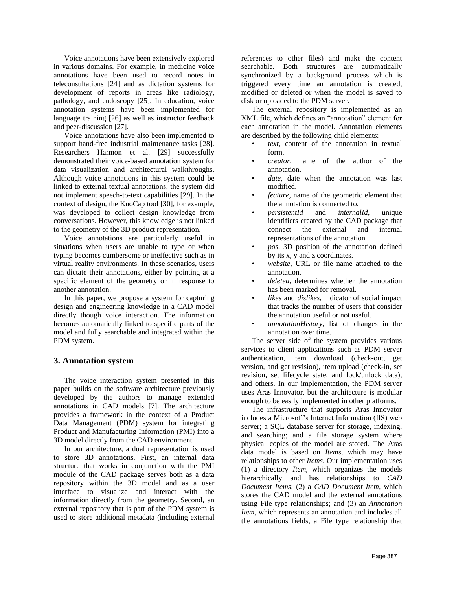Voice annotations have been extensively explored in various domains. For example, in medicine voice annotations have been used to record notes in teleconsultations [24] and as dictation systems for development of reports in areas like radiology, pathology, and endoscopy [25]. In education, voice annotation systems have been implemented for language training [26] as well as instructor feedback and peer-discussion [27].

Voice annotations have also been implemented to support hand-free industrial maintenance tasks [28]. Researchers Harmon et al. [29] successfully demonstrated their voice-based annotation system for data visualization and architectural walkthroughs. Although voice annotations in this system could be linked to external textual annotations, the system did not implement speech-to-text capabilities [29]. In the context of design, the KnoCap tool [30], for example, was developed to collect design knowledge from conversations. However, this knowledge is not linked to the geometry of the 3D product representation.

Voice annotations are particularly useful in situations when users are unable to type or when typing becomes cumbersome or ineffective such as in virtual reality environments. In these scenarios, users can dictate their annotations, either by pointing at a specific element of the geometry or in response to another annotation.

In this paper, we propose a system for capturing design and engineering knowledge in a CAD model directly though voice interaction. The information becomes automatically linked to specific parts of the model and fully searchable and integrated within the PDM system.

## **3. Annotation system**

The voice interaction system presented in this paper builds on the software architecture previously developed by the authors to manage extended annotations in CAD models [7]. The architecture provides a framework in the context of a Product Data Management (PDM) system for integrating Product and Manufacturing Information (PMI) into a 3D model directly from the CAD environment.

In our architecture, a dual representation is used to store 3D annotations. First, an internal data structure that works in conjunction with the PMI module of the CAD package serves both as a data repository within the 3D model and as a user interface to visualize and interact with the information directly from the geometry. Second, an external repository that is part of the PDM system is used to store additional metadata (including external references to other files) and make the content searchable. Both structures are automatically synchronized by a background process which is triggered every time an annotation is created, modified or deleted or when the model is saved to disk or uploaded to the PDM server.

The external repository is implemented as an XML file, which defines an "annotation" element for each annotation in the model. Annotation elements are described by the following child elements:

- *text*, content of the annotation in textual form.
- *creator*, name of the author of the annotation.
- date, date when the annotation was last modified.
- *feature*, name of the geometric element that the annotation is connected to.
- *persistentId* and *internalId*, unique identifiers created by the CAD package that connect the external and internal representations of the annotation.
- *pos*, 3D position of the annotation defined by its x, y and z coordinates.
- *website*, URL or file name attached to the annotation.
- *deleted*, determines whether the annotation has been marked for removal.
- *likes* and *dislikes*, indicator of social impact that tracks the number of users that consider the annotation useful or not useful.
- *annotationHistory*, list of changes in the annotation over time.

The server side of the system provides various services to client applications such as PDM server authentication, item download (check-out, get version, and get revision), item upload (check-in, set revision, set lifecycle state, and lock/unlock data), and others. In our implementation, the PDM server uses Aras Innovator, but the architecture is modular enough to be easily implemented in other platforms.

The infrastructure that supports Aras Innovator includes a Microsoft's Internet Information (IIS) web server; a SQL database server for storage, indexing, and searching; and a file storage system where physical copies of the model are stored. The Aras data model is based on *Items*, which may have relationships to other *Items*. Our implementation uses (1) a directory *Item*, which organizes the models hierarchically and has relationships to *CAD Document Items*; (2) a *CAD Document Item*, which stores the CAD model and the external annotations using File type relationships; and (3) an *Annotation Item*, which represents an annotation and includes all the annotations fields, a File type relationship that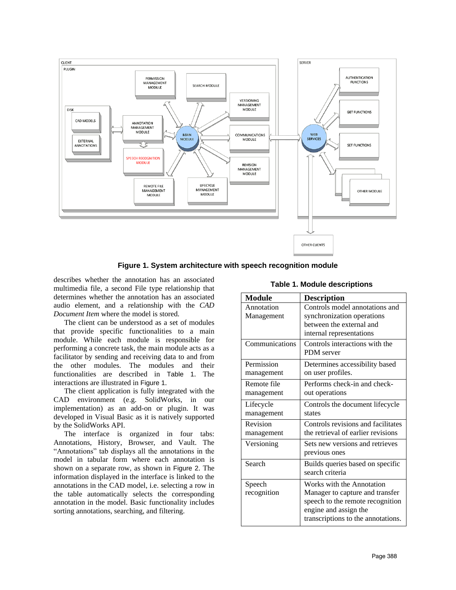

**Figure 1. System architecture with speech recognition module**

describes whether the annotation has an associated multimedia file, a second File type relationship that determines whether the annotation has an associated audio element, and a relationship with the *CAD Document Item* where the model is stored.

The client can be understood as a set of modules that provide specific functionalities to a main module. While each module is responsible for performing a concrete task, the main module acts as a facilitator by sending and receiving data to and from the other modules. The modules and their functionalities are described in Table 1. The interactions are illustrated in Figure 1.

The client application is fully integrated with the CAD environment (e.g. SolidWorks, in our implementation) as an add-on or plugin. It was developed in Visual Basic as it is natively supported by the SolidWorks API.

The interface is organized in four tabs: Annotations, History, Browser, and Vault. The "Annotations" tab displays all the annotations in the model in tabular form where each annotation is shown on a separate row, as shown in Figure 2. The information displayed in the interface is linked to the annotations in the CAD model, i.e. selecting a row in the table automatically selects the corresponding annotation in the model. Basic functionality includes sorting annotations, searching, and filtering.

**Table 1. Module descriptions**

| <b>Module</b>  | <b>Description</b>                 |  |  |  |
|----------------|------------------------------------|--|--|--|
| Annotation     | Controls model annotations and     |  |  |  |
| Management     | synchronization operations         |  |  |  |
|                | between the external and           |  |  |  |
|                | internal representations           |  |  |  |
| Communications | Controls interactions with the     |  |  |  |
|                | PDM server                         |  |  |  |
| Permission     | Determines accessibility based     |  |  |  |
| management     | on user profiles.                  |  |  |  |
| Remote file    | Performs check-in and check-       |  |  |  |
| management     | out operations                     |  |  |  |
| Lifecycle      | Controls the document lifecycle    |  |  |  |
| management     | states                             |  |  |  |
| Revision       | Controls revisions and facilitates |  |  |  |
| management     | the retrieval of earlier revisions |  |  |  |
| Versioning     | Sets new versions and retrieves    |  |  |  |
|                | previous ones                      |  |  |  |
| Search         | Builds queries based on specific   |  |  |  |
|                | search criteria                    |  |  |  |
| Speech         | Works with the Annotation          |  |  |  |
| recognition    | Manager to capture and transfer    |  |  |  |
|                | speech to the remote recognition   |  |  |  |
|                | engine and assign the              |  |  |  |
|                | transcriptions to the annotations. |  |  |  |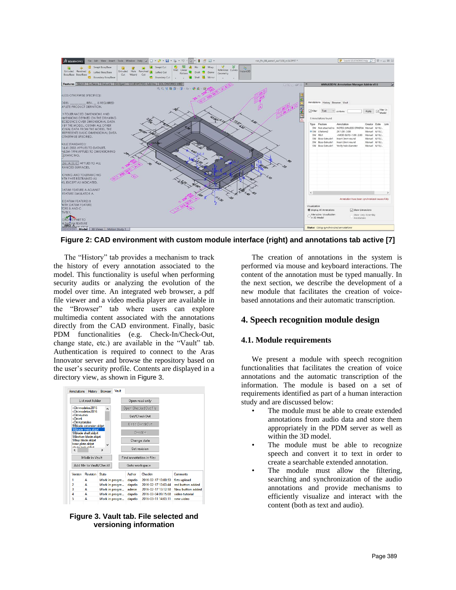

**Figure 2: CAD environment with custom module interface (right) and annotations tab active [7]**

The "History" tab provides a mechanism to track the history of every annotation associated to the model. This functionality is useful when performing security audits or analyzing the evolution of the model over time. An integrated web browser, a pdf file viewer and a video media player are available in the "Browser" tab where users can explore multimedia content associated with the annotations directly from the CAD environment. Finally, basic PDM functionalities (e.g. Check-In/Check-Out, change state, etc.) are available in the "Vault" tab. Authentication is required to connect to the Aras Innovator server and browse the repository based on the user's security profile. Contents are displayed in a directory view, as shown in Figure 3.

| List root folder                                                                                                                                                                                                                                      |                          |                               |                | Open read only          |                                            |  |                             |
|-------------------------------------------------------------------------------------------------------------------------------------------------------------------------------------------------------------------------------------------------------|--------------------------|-------------------------------|----------------|-------------------------|--------------------------------------------|--|-----------------------------|
| <dir>modelos2015<br/><math>\lambda</math><br/><dir>modelos2016<br/><dir>nuevo<br/><dir>r4<br/><dir>tutoriales<br/>98blade extension.sldprt<br/>98blade rivets.sldprt<br/>98blade shaft.sldprt<br/>98bottom blade.sldprt</dir></dir></dir></dir></dir> |                          |                               |                |                         | Open CheckedOut file                       |  |                             |
|                                                                                                                                                                                                                                                       |                          |                               |                |                         | Get/CheckOut                               |  |                             |
|                                                                                                                                                                                                                                                       |                          |                               |                |                         | <b>Undo CheckOut</b>                       |  |                             |
|                                                                                                                                                                                                                                                       |                          |                               |                | Checkin<br>Change state |                                            |  |                             |
| 98top blade sldprt<br>base plate sldprt                                                                                                                                                                                                               |                          |                               |                |                         |                                            |  |                             |
|                                                                                                                                                                                                                                                       |                          |                               |                |                         |                                            |  |                             |
|                                                                                                                                                                                                                                                       | abuda laale aldad        | $\checkmark$<br>$\rightarrow$ |                |                         | Get revision                               |  |                             |
|                                                                                                                                                                                                                                                       | Mkdir in Vault           |                               |                |                         | <b>Find annotation in files</b>            |  |                             |
|                                                                                                                                                                                                                                                       | Add file to Vault/Checkl |                               |                | Goto workspace          |                                            |  |                             |
| Version                                                                                                                                                                                                                                               | Revision                 | State                         |                | Author                  | Checkin                                    |  | Comments                    |
| 1                                                                                                                                                                                                                                                     | A                        |                               | Work in progre | dapelo                  | 2016-02-17 13:00:53                        |  | firts upload                |
| 2                                                                                                                                                                                                                                                     | Δ                        |                               | Work in progre | dapelo                  | 2016-02-17 13:03:44                        |  | red button added            |
| 3                                                                                                                                                                                                                                                     | А                        |                               | Work in progre | admin                   | 2016-02-17 13:12:58                        |  | New button added            |
| 4<br>5                                                                                                                                                                                                                                                | Α<br>A                   |                               | Work in progre | dapelo                  | 2016-03-04 09:15:08<br>2016-03-11 14:03:11 |  | video tutorial<br>new video |

**Figure 3. Vault tab. File selected and versioning information**

The creation of annotations in the system is performed via mouse and keyboard interactions. The content of the annotation must be typed manually. In the next section, we describe the development of a new module that facilitates the creation of voicebased annotations and their automatic transcription.

## **4. Speech recognition module design**

#### **4.1. Module requirements**

We present a module with speech recognition functionalities that facilitates the creation of voice annotations and the automatic transcription of the information. The module is based on a set of requirements identified as part of a human interaction study and are discussed below:

- The module must be able to create extended annotations from audio data and store them appropriately in the PDM server as well as within the 3D model.
- The module must be able to recognize speech and convert it to text in order to create a searchable extended annotation.
- The module must allow the filtering, searching and synchronization of the audio annotations and provide mechanisms to efficiently visualize and interact with the content (both as text and audio).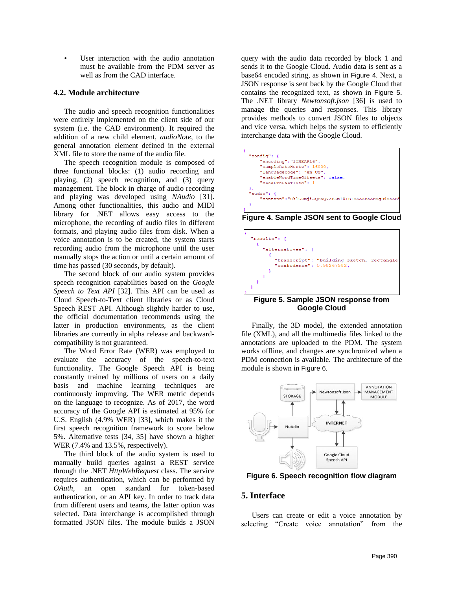• User interaction with the audio annotation must be available from the PDM server as well as from the CAD interface.

#### **4.2. Module architecture**

The audio and speech recognition functionalities were entirely implemented on the client side of our system (i.e. the CAD environment). It required the addition of a new child element, *audioNote*, to the general annotation element defined in the external XML file to store the name of the audio file.

The speech recognition module is composed of three functional blocks: (1) audio recording and playing, (2) speech recognition, and (3) query management. The block in charge of audio recording and playing was developed using *NAudio* [31]. Among other functionalities, this audio and MIDI library for .NET allows easy access to the microphone, the recording of audio files in different formats, and playing audio files from disk. When a voice annotation is to be created, the system starts recording audio from the microphone until the user manually stops the action or until a certain amount of time has passed (30 seconds, by default).

The second block of our audio system provides speech recognition capabilities based on the *Google Speech to Text API* [32]. This API can be used as Cloud Speech-to-Text client libraries or as Cloud Speech REST API. Although slightly harder to use, the official documentation recommends using the latter in production environments, as the client libraries are currently in alpha release and backwardcompatibility is not guaranteed.

The Word Error Rate (WER) was employed to evaluate the accuracy of the speech-to-text functionality. The Google Speech API is being constantly trained by millions of users on a daily basis and machine learning techniques are continuously improving. The WER metric depends on the language to recognize. As of 2017, the word accuracy of the Google API is estimated at 95% for U.S. English (4.9% WER) [33], which makes it the first speech recognition framework to score below 5%. Alternative tests [34, 35] have shown a higher WER (7.4% and 13.5%, respectively).

The third block of the audio system is used to manually build queries against a REST service through the .NET *HttpWebRequest* class. The service requires authentication, which can be performed by *OAuth*, an open standard for token-based authentication, or an API key. In order to track data from different users and teams, the latter option was selected. Data interchange is accomplished through formatted JSON files. The module builds a JSON

query with the audio data recorded by block 1 and sends it to the Google Cloud. Audio data is sent as a base64 encoded string, as shown in Figure 4. Next, a JSON response is sent back by the Google Cloud that contains the recognized text, as shown in Figure 5. The .NET library *Newtonsoft.json* [36] is used to manage the queries and responses. This library provides methods to convert JSON files to objects and vice versa, which helps the system to efficiently interchange data with the Google Cloud.



**Figure 4. Sample JSON sent to Google Cloud**



**Figure 5. Sample JSON response from Google Cloud**

Finally, the 3D model, the extended annotation file (XML), and all the multimedia files linked to the annotations are uploaded to the PDM. The system works offline, and changes are synchronized when a PDM connection is available. The architecture of the module is shown in Figure 6.



**Figure 6. Speech recognition flow diagram**

### **5. Interface**

Users can create or edit a voice annotation by selecting "Create voice annotation" from the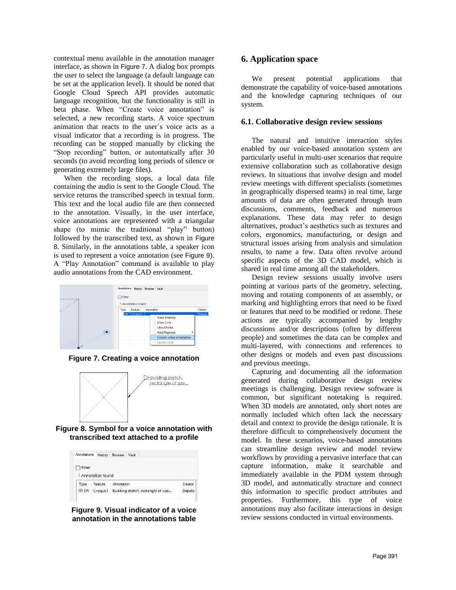contextual menu available in the annotation manager interface, as shown in Figure 7. A dialog box prompts the user to select the language (a default language can be set at the application level). It should be noted that Google Cloud Speech API provides automatic language recognition, but the functionality is still in beta phase. When "Create voice annotation" is selected, a new recording starts. A voice spectrum animation that reacts to the user´s voice acts as a visual indicator that a recording is in progress. The recording can be stopped manually by clicking the "Stop recording" button, or automatically after 30 seconds (to avoid recording long periods of silence or generating extremely large files).

When the recording stops, a local data file containing the audio is sent to the Google Cloud. The service returns the transcribed speech in textual form. This text and the local audio file are then connected to the annotation. Visually, in the user interface, voice annotations are represented with a triangular shape (to mimic the traditional "play" button) followed by the transcribed text, as shown in Figure 8. Similarly, in the annotations table, a speaker icon is used to represent a voice annotation (see Figure 9). A "Play Annotation" command is available to play audio annotations from the CAD environment.



**Figure 7. Creating a voice annotation**



**Figure 8. Symbol for a voice annotation with transcribed text attached to a profile**

| Annotations | History            | <b>Browser</b>                     | Vault  |  |         |
|-------------|--------------------|------------------------------------|--------|--|---------|
| ] Filter    |                    |                                    |        |  |         |
|             | 1 Annotation found |                                    |        |  |         |
| Type        | Feature            | Annotation                         |        |  | Creator |
| do SW       | Croquis1           | Building sketch, rectangle of size | Dapelo |  |         |
|             |                    |                                    |        |  |         |

**Figure 9. Visual indicator of a voice annotation in the annotations table**

## **6. Application space**

We present potential applications that demonstrate the capability of voice-based annotations and the knowledge capturing techniques of our system.

#### **6.1. Collaborative design review sessions**

The natural and intuitive interaction styles enabled by our voice-based annotation system are particularly useful in multi-user scenarios that require extensive collaboration such as collaborative design reviews. In situations that involve design and model review meetings with different specialists (sometimes in geographically dispersed teams) in real time, large amounts of data are often generated through team discussions, comments, feedback and numerous explanations. These data may refer to design alternatives, product's aesthetics such as textures and colors, ergonomics, manufacturing, or design and structural issues arising from analysis and simulation results, to name a few. Data often revolve around specific aspects of the 3D CAD model, which is shared in real time among all the stakeholders.

Design review sessions usually involve users pointing at various parts of the geometry, selecting, moving and rotating components of an assembly, or marking and highlighting errors that need to be fixed or features that need to be modified or redone. These actions are typically accompanied by lengthy discussions and/or descriptions (often by different people) and sometimes the data can be complex and multi-layered, with connections and references to other designs or models and even past discussions and previous meetings.

Capturing and documenting all the information generated during collaborative design review meetings is challenging. Design review software is common, but significant notetaking is required. When 3D models are annotated, only short notes are normally included which often lack the necessary detail and context to provide the design rationale. It is therefore difficult to comprehensively document the model. In these scenarios, voice-based annotations can streamline design review and model review workflows by providing a pervasive interface that can capture information, make it searchable and immediately available in the PDM system through 3D model, and automatically structure and connect this information to specific product attributes and properties. Furthermore, this type of voice annotations may also facilitate interactions in design review sessions conducted in virtual environments.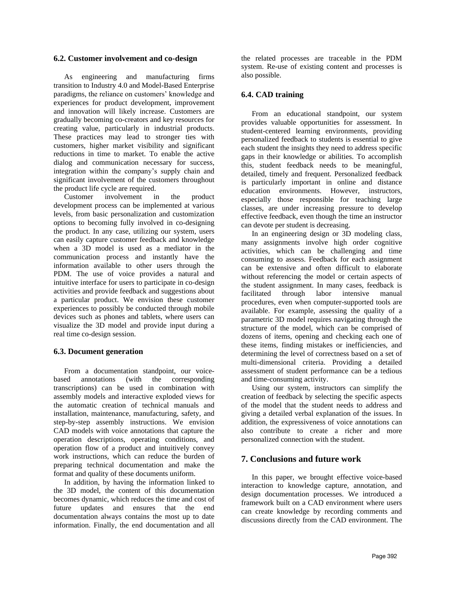#### **6.2. Customer involvement and co-design**

As engineering and manufacturing firms transition to Industry 4.0 and Model-Based Enterprise paradigms, the reliance on customers' knowledge and experiences for product development, improvement and innovation will likely increase. Customers are gradually becoming co-creators and key resources for creating value, particularly in industrial products. These practices may lead to stronger ties with customers, higher market visibility and significant reductions in time to market. To enable the active dialog and communication necessary for success, integration within the company's supply chain and significant involvement of the customers throughout the product life cycle are required.

Customer involvement in the product development process can be implemented at various levels, from basic personalization and customization options to becoming fully involved in co-designing the product. In any case, utilizing our system, users can easily capture customer feedback and knowledge when a 3D model is used as a mediator in the communication process and instantly have the information available to other users through the PDM. The use of voice provides a natural and intuitive interface for users to participate in co-design activities and provide feedback and suggestions about a particular product. We envision these customer experiences to possibly be conducted through mobile devices such as phones and tablets, where users can visualize the 3D model and provide input during a real time co-design session.

#### **6.3. Document generation**

From a documentation standpoint, our voicebased annotations (with the corresponding transcriptions) can be used in combination with assembly models and interactive exploded views for the automatic creation of technical manuals and installation, maintenance, manufacturing, safety, and step-by-step assembly instructions. We envision CAD models with voice annotations that capture the operation descriptions, operating conditions, and operation flow of a product and intuitively convey work instructions, which can reduce the burden of preparing technical documentation and make the format and quality of these documents uniform.

In addition, by having the information linked to the 3D model, the content of this documentation becomes dynamic, which reduces the time and cost of future updates and ensures that the end documentation always contains the most up to date information. Finally, the end documentation and all

the related processes are traceable in the PDM system. Re-use of existing content and processes is also possible.

## **6.4. CAD training**

From an educational standpoint, our system provides valuable opportunities for assessment. In student-centered learning environments, providing personalized feedback to students is essential to give each student the insights they need to address specific gaps in their knowledge or abilities. To accomplish this, student feedback needs to be meaningful, detailed, timely and frequent. Personalized feedback is particularly important in online and distance education environments. However, instructors, especially those responsible for teaching large classes, are under increasing pressure to develop effective feedback, even though the time an instructor can devote per student is decreasing.

In an engineering design or 3D modeling class, many assignments involve high order cognitive activities, which can be challenging and time consuming to assess. Feedback for each assignment can be extensive and often difficult to elaborate without referencing the model or certain aspects of the student assignment. In many cases, feedback is facilitated through labor intensive manual procedures, even when computer-supported tools are available. For example, assessing the quality of a parametric 3D model requires navigating through the structure of the model, which can be comprised of dozens of items, opening and checking each one of these items, finding mistakes or inefficiencies, and determining the level of correctness based on a set of multi-dimensional criteria. Providing a detailed assessment of student performance can be a tedious and time-consuming activity.

Using our system, instructors can simplify the creation of feedback by selecting the specific aspects of the model that the student needs to address and giving a detailed verbal explanation of the issues. In addition, the expressiveness of voice annotations can also contribute to create a richer and more personalized connection with the student.

## **7. Conclusions and future work**

In this paper, we brought effective voice-based interaction to knowledge capture, annotation, and design documentation processes. We introduced a framework built on a CAD environment where users can create knowledge by recording comments and discussions directly from the CAD environment. The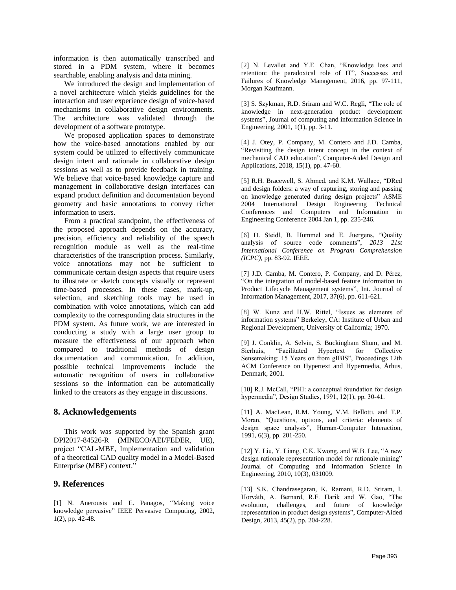information is then automatically transcribed and stored in a PDM system, where it becomes searchable, enabling analysis and data mining.

We introduced the design and implementation of a novel architecture which yields guidelines for the interaction and user experience design of voice-based mechanisms in collaborative design environments. The architecture was validated through the development of a software prototype.

We proposed application spaces to demonstrate how the voice-based annotations enabled by our system could be utilized to effectively communicate design intent and rationale in collaborative design sessions as well as to provide feedback in training. We believe that voice-based knowledge capture and management in collaborative design interfaces can expand product definition and documentation beyond geometry and basic annotations to convey richer information to users.

From a practical standpoint, the effectiveness of the proposed approach depends on the accuracy, precision, efficiency and reliability of the speech recognition module as well as the real-time characteristics of the transcription process. Similarly, voice annotations may not be sufficient to communicate certain design aspects that require users to illustrate or sketch concepts visually or represent time-based processes. In these cases, mark-up, selection, and sketching tools may be used in combination with voice annotations, which can add complexity to the corresponding data structures in the PDM system. As future work, we are interested in conducting a study with a large user group to measure the effectiveness of our approach when compared to traditional methods of design documentation and communication. In addition, possible technical improvements include the automatic recognition of users in collaborative sessions so the information can be automatically linked to the creators as they engage in discussions.

#### **8. Acknowledgements**

This work was supported by the Spanish grant DPI2017-84526-R (MINECO/AEI/FEDER, UE), project "CAL-MBE, Implementation and validation of a theoretical CAD quality model in a Model-Based Enterprise (MBE) context."

#### **9. References**

[1] N. Anerousis and E. Panagos, "Making voice knowledge pervasive" IEEE Pervasive Computing, 2002, 1(2), pp. 42-48.

[2] N. Levallet and Y.E. Chan, "Knowledge loss and retention: the paradoxical role of IT", Successes and Failures of Knowledge Management, 2016, pp. 97-111, Morgan Kaufmann.

[3] S. Szykman, R.D. Sriram and W.C. Regli, "The role of knowledge in next-generation product development systems", Journal of computing and information Science in Engineering, 2001, 1(1), pp. 3-11.

[4] J. Otey, P. Company, M. Contero and J.D. Camba, "Revisiting the design intent concept in the context of mechanical CAD education", Computer-Aided Design and Applications, 2018, 15(1), pp. 47-60.

[5] R.H. Bracewell, S. Ahmed, and K.M. Wallace, "DRed and design folders: a way of capturing, storing and passing on knowledge generated during design projects" ASME 2004 International Design Engineering Technical Conferences and Computers and Information in Engineering Conference 2004 Jan 1, pp. 235-246.

[6] D. Steidl, B. Hummel and E. Juergens, "Quality analysis of source code comments", *2013 21st International Conference on Program Comprehension (ICPC)*, pp. 83-92. IEEE.

[7] J.D. Camba, M. Contero, P. Company, and D. Pérez, "On the integration of model-based feature information in Product Lifecycle Management systems", Int. Journal of Information Management, 2017, 37(6), pp. 611-621.

[8] W. Kunz and H.W. Rittel, "Issues as elements of information systems" Berkeley, CA: Institute of Urban and Regional Development, University of California; 1970.

[9] J. Conklin, A. Selvin, S. Buckingham Shum, and M. Sierhuis, "Facilitated Hypertext for Collective Sensemaking: 15 Years on from gIBIS", Proceedings 12th ACM Conference on Hypertext and Hypermedia, Århus, Denmark, 2001.

[10] R.J. McCall, "PHI: a conceptual foundation for design hypermedia", Design Studies, 1991, 12(1), pp. 30-41.

[11] A. MacLean, R.M. Young, V.M. Bellotti, and T.P. Moran, "Questions, options, and criteria: elements of design space analysis", Human-Computer Interaction, 1991, 6(3), pp. 201-250.

[12] Y. Liu, Y. Liang, C.K. Kwong, and W.B. Lee, "A new design rationale representation model for rationale mining" Journal of Computing and Information Science in Engineering, 2010, 10(3), 031009.

[13] S.K. Chandrasegaran, K. Ramani, R.D. Sriram, I. Horváth, A. Bernard, R.F. Harik and W. Gao, "The evolution, challenges, and future of knowledge representation in product design systems", Computer-Aided Design, 2013, 45(2), pp. 204-228.